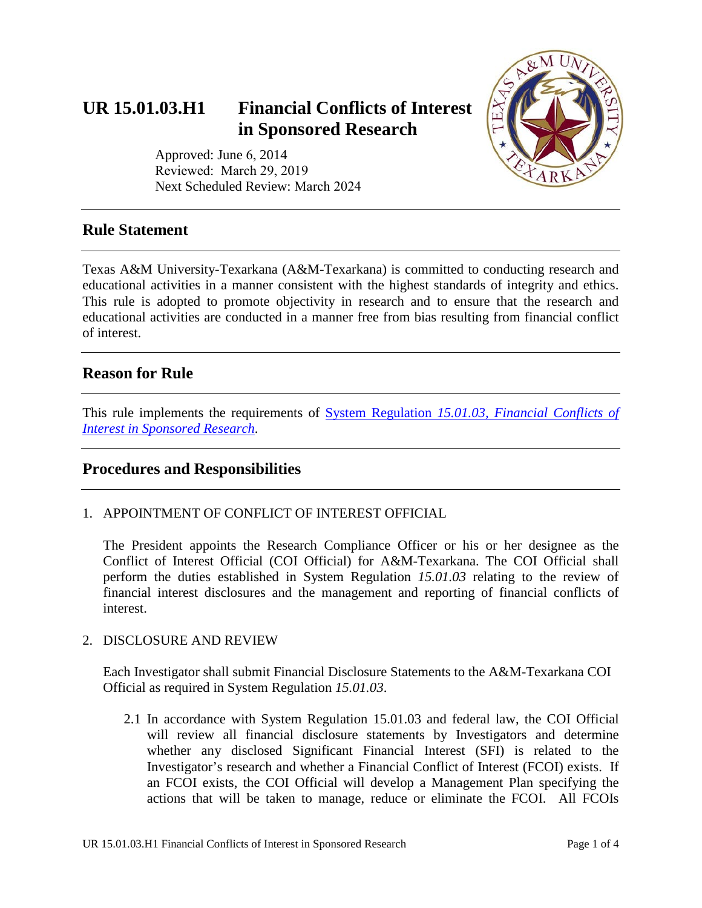# **UR 15.01.03.H1 Financial Conflicts of Interest in Sponsored Research**



Approved: June 6, 2014 Reviewed: March 29, 2019 Next Scheduled Review: March 2024

## **Rule Statement**

Texas A&M University-Texarkana (A&M-Texarkana) is committed to conducting research and educational activities in a manner consistent with the highest standards of integrity and ethics. This rule is adopted to promote objectivity in research and to ensure that the research and educational activities are conducted in a manner free from bias resulting from financial conflict of interest.

# **Reason for Rule**

This rule implements the requirements of System Regulation *[15.01.03, Financial Conflicts of](http://policies.tamus.edu/15-01-03.pdf)  [Interest in Sponsored Research](http://policies.tamus.edu/15-01-03.pdf)*.

# **Procedures and Responsibilities**

1. APPOINTMENT OF CONFLICT OF INTEREST OFFICIAL

The President appoints the Research Compliance Officer or his or her designee as the Conflict of Interest Official (COI Official) for A&M-Texarkana. The COI Official shall perform the duties established in System Regulation *15.01.03* relating to the review of financial interest disclosures and the management and reporting of financial conflicts of interest.

#### 2. DISCLOSURE AND REVIEW

Each Investigator shall submit Financial Disclosure Statements to the A&M-Texarkana COI Official as required in System Regulation *15.01.03*.

2.1 In accordance with System Regulation 15.01.03 and federal law, the COI Official will review all financial disclosure statements by Investigators and determine whether any disclosed Significant Financial Interest (SFI) is related to the Investigator's research and whether a Financial Conflict of Interest (FCOI) exists. If an FCOI exists, the COI Official will develop a Management Plan specifying the actions that will be taken to manage, reduce or eliminate the FCOI. All FCOIs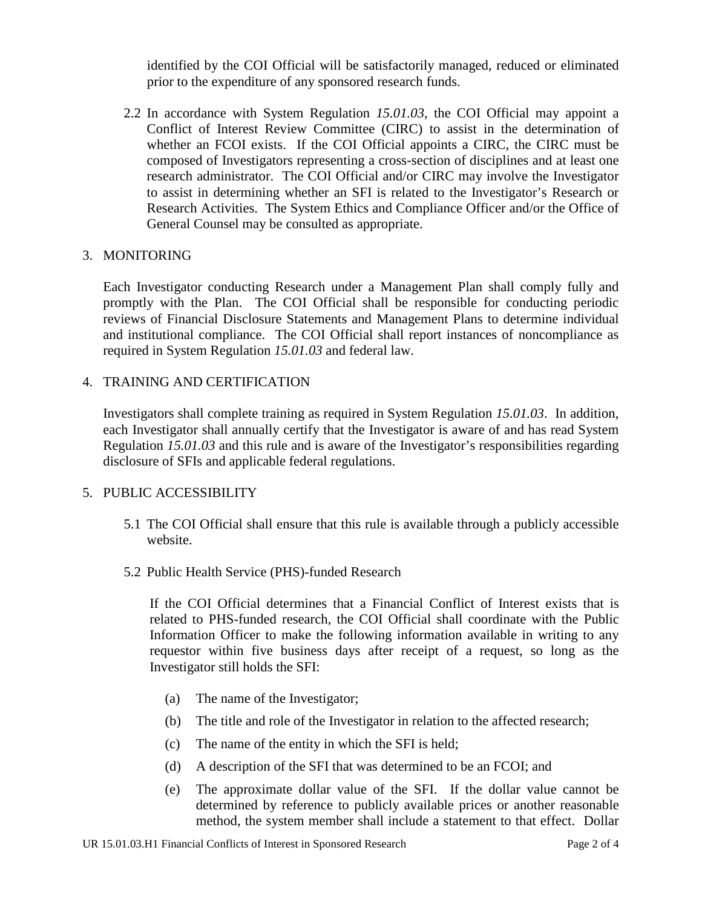identified by the COI Official will be satisfactorily managed, reduced or eliminated prior to the expenditure of any sponsored research funds.

2.2 In accordance with System Regulation *15.01.03*, the COI Official may appoint a Conflict of Interest Review Committee (CIRC) to assist in the determination of whether an FCOI exists. If the COI Official appoints a CIRC, the CIRC must be composed of Investigators representing a cross-section of disciplines and at least one research administrator. The COI Official and/or CIRC may involve the Investigator to assist in determining whether an SFI is related to the Investigator's Research or Research Activities. The System Ethics and Compliance Officer and/or the Office of General Counsel may be consulted as appropriate.

#### 3. MONITORING

Each Investigator conducting Research under a Management Plan shall comply fully and promptly with the Plan. The COI Official shall be responsible for conducting periodic reviews of Financial Disclosure Statements and Management Plans to determine individual and institutional compliance. The COI Official shall report instances of noncompliance as required in System Regulation *15.01.03* and federal law.

#### 4. TRAINING AND CERTIFICATION

Investigators shall complete training as required in System Regulation *15.01.03*. In addition, each Investigator shall annually certify that the Investigator is aware of and has read System Regulation *15.01.03* and this rule and is aware of the Investigator's responsibilities regarding disclosure of SFIs and applicable federal regulations.

#### 5. PUBLIC ACCESSIBILITY

- 5.1 The COI Official shall ensure that this rule is available through a publicly accessible website.
- 5.2 Public Health Service (PHS)-funded Research

If the COI Official determines that a Financial Conflict of Interest exists that is related to PHS-funded research, the COI Official shall coordinate with the Public Information Officer to make the following information available in writing to any requestor within five business days after receipt of a request, so long as the Investigator still holds the SFI:

- (a) The name of the Investigator;
- (b) The title and role of the Investigator in relation to the affected research;
- (c) The name of the entity in which the SFI is held;
- (d) A description of the SFI that was determined to be an FCOI; and
- (e) The approximate dollar value of the SFI. If the dollar value cannot be determined by reference to publicly available prices or another reasonable method, the system member shall include a statement to that effect. Dollar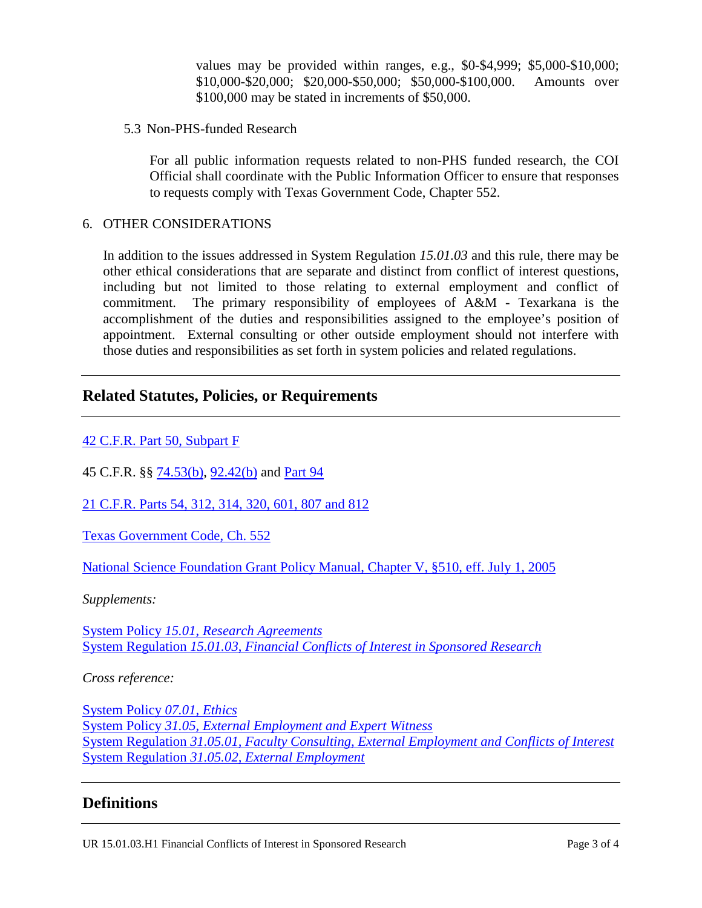values may be provided within ranges, e.g., \$0-\$4,999; \$5,000-\$10,000; \$10,000-\$20,000; \$20,000-\$50,000; \$50,000-\$100,000. Amounts over \$100,000 may be stated in increments of \$50,000.

5.3 Non-PHS-funded Research

For all public information requests related to non-PHS funded research, the COI Official shall coordinate with the Public Information Officer to ensure that responses to requests comply with Texas Government Code, Chapter 552.

#### 6. OTHER CONSIDERATIONS

In addition to the issues addressed in System Regulation *15.01.03* and this rule, there may be other ethical considerations that are separate and distinct from conflict of interest questions, including but not limited to those relating to external employment and conflict of commitment. The primary responsibility of employees of A&M - Texarkana is the accomplishment of the duties and responsibilities assigned to the employee's position of appointment. External consulting or other outside employment should not interfere with those duties and responsibilities as set forth in system policies and related regulations.

### **Related Statutes, Policies, or Requirements**

[42 C.F.R. Part 50, Subpart F](https://www.ecfr.gov/cgi-bin/text-idx?rgn=div5&node=42:1.0.1.4.23)

45 C.F.R. §§ [74.53\(b\),](https://www.govinfo.gov/content/pkg/CFR-1999-title45-vol1/pdf/CFR-1999-title45-vol1-sec74-53.pdf) [92.42\(b\)](https://www.ecfr.gov/cgi-bin/text-idx?tpl=/ecfrbrowse/Title45/45cfr92_main_02.tpl) and [Part 94](https://www.ecfr.gov/cgi-bin/text-idx?tpl=/ecfrbrowse/Title45/45cfr94_main_02.tpl)

[21 C.F.R. Parts 54, 312, 314, 320, 601, 807 and 812](https://www.accessdata.fda.gov/scripts/cdrh/cfdocs/cfCFR/CFRSearch.cfm)

[Texas Government Code, Ch. 552](http://www.statutes.legis.state.tx.us/Docs/GV/htm/GV.552.htm)

[National Science Foundation Grant Policy Manual, Chapter V, §510, eff. July 1, 2005](https://www.nsf.gov/publications/pub_summ.jsp?ods_key=gpm)

*Supplements:* 

System Policy *15.01*, *[Research Agreements](http://policies.tamus.edu/15-01.pdf)* System Regulation *15.01.03*, *[Financial Conflicts of Interest in Sponsored Research](http://policies.tamus.edu/15-01-03.pdf)*

*Cross reference:*

[System Policy](http://policies.tamus.edu/07-01.pdf) *07.01, Ethics* System Policy *31.05, [External Employment and Expert Witness](http://policies.tamus.edu/31-05.pdf)* System Regulation *31.05.01, [Faculty Consulting, External Employment and Conflicts of Interest](http://policies.tamus.edu/31-05-01.pdf)* System Regulation *31.05.02, [External Employment](http://policies.tamus.edu/31-05-02.pdf)*

### **Definitions**